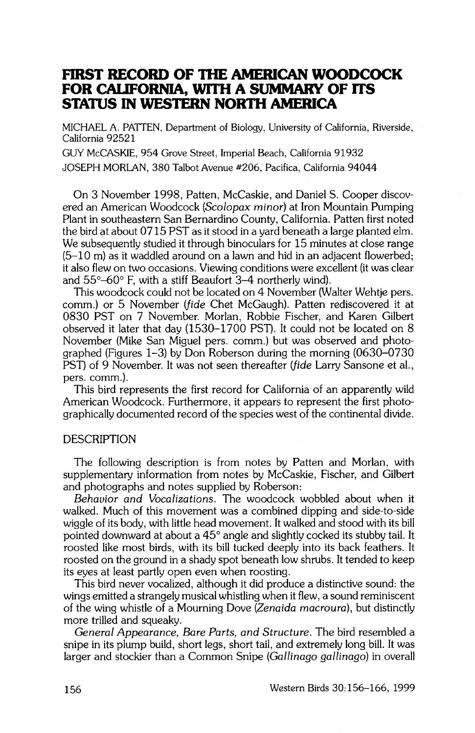# **FIRST RECORD OF THE AMERICAN WOODCOCK FOR CALIFORNIA, WITH A SUMMARY OF ITS STATUS IN WESTERN NORTH AMERICA**

**MICHAEL A. PATTEN, Department of Biology, University of California, Riverside, California 92521** 

**GUY McCASKIE, 954 Grove Street, Imperial Beach, California 91932 JOSEPH MORLAN, 380 Talbot Avenue #206, Pacifica, California 94044** 

**On 3 November 1998, Patten, McCaskie, and Daniel S. Cooper discovered an American Woodcock (Scolopax minor) at Iron Mountain Pumping Plant in southeastern San Bernardino County, California. Patten first noted the bird at about 0715 PST as it stood in a yard beneath a large planted elm. We subsequently studied it through binoculars for 15 minutes at close range (5-10 m) as it waddled around on a lawn and hid in an adjacent flowerbed; it also flew on two occasions. Viewing conditions were excellent (it was clear**  and 55°–60° F, with a stiff Beaufort 3–4 northerly wind).

**This woodcock could not be located on 4 November (Walter Wehtje pers. comm.) or 5 November (fide Chet McGaugh). Patten rediscovered it at 0830 PST on 7 November. Morlan, Robbie Fischer, and Karen Gilbert observed it later that day (1530-1700 PST). It could not be located on 8 November (Mike San Miguel pers. comm.) but was observed and photographed (Figures 1-3) by Don Roberson during the morning (0630-0730 PST) of 9 November. It was not seen thereafter (fide Larry Sansone et al., pers. comm.).** 

**This bird represents the first record for California of an apparently wild American Woodcock. Furthermore, it appears to represent the first photographically documented record of the species west of the continental divide.** 

### **DESCRIPTION**

**The following description is from notes by Patten and Morlan, with supplementary information from notes by McCaskie, Fischer, and Gilbert and photographs and notes supplied by Roberson:** 

**Behavior and Vocalizations. The woodcock wobbled about when it walked. Much of this movement was a combined dipping and side-to-side wiggle of its body, with little head movement. It walked and stood with its bill**  pointed downward at about a 45<sup>°</sup> angle and slightly cocked its stubby tail. It **roosted like most birds, with its bill tucked deeply into its back feathers. It roosted on the ground in a shady spot beneath low shrubs. It tended to keep its eyes at least partly open even when roosting.** 

**This bird never vocalized, although it did produce a distinctive sound: the wings emitted a strangely musical whistling when it flew, a sound reminiscent of the wing whistle of a Mourning Dove (Zenaida macroura), but distinctly more trilled and squeaky.** 

**General Appearance, Bare Parts, and Structure. The bird resembled a snipe in its plump build, short legs, short tail, and extremely long bill. It was larger and stockier than a Common Snipe (Gallinago gallinago) in overall**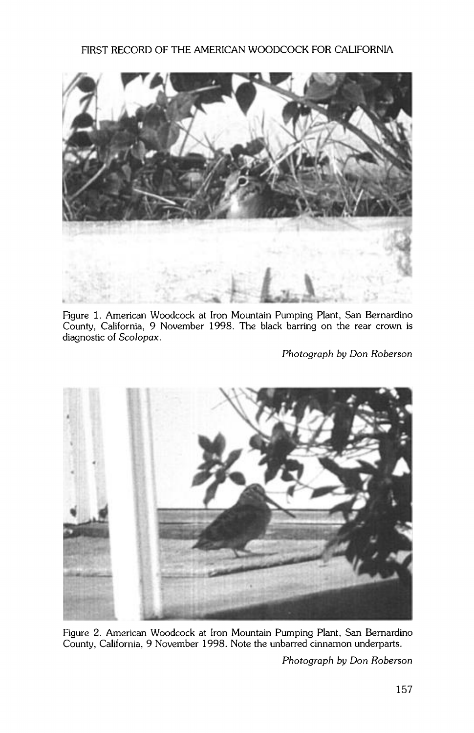

**Figure 1. American Woodcock at Iron Mountain Pumping Plant, San Bernardino County. California, 9 November 1998. The black barring on the rear crown is diagnostic of Scolopax.** 

**Photograph by Don Roberson** 



**Figure 2. American Woodcock at Iron Mountain Pumping Plant, San Bernardino County, California, 9 November 1998. Note the unbarred cinnamon underparts.** 

**Photograph by Don Roberson**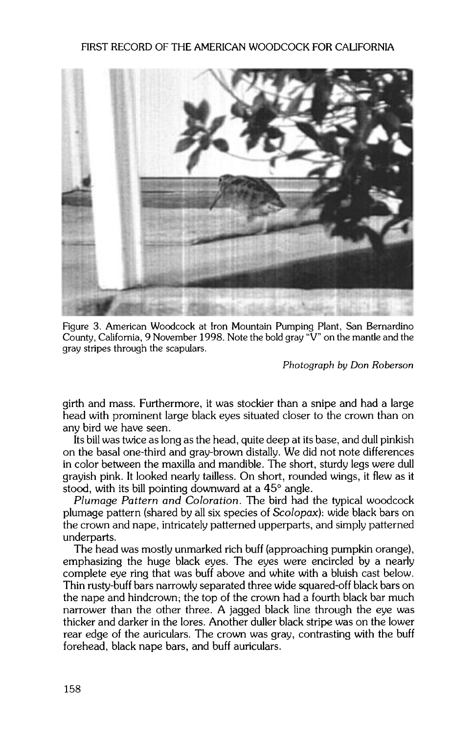#### **FIRST RECORD OF THE AMERICAN WOODCOCK FOR CALIFORNIA**



**Figure 3. American Woodcock at Iron Mountain Pumping Plant, San Bernardino**  County, California, 9 November 1998. Note the bold gray "V" on the mantle and the **gray stripes through the scapulars.** 

**Photograph by Don Roberson** 

**girth and mass. Furthermore, it was stockier than a snipe and had a large head with prominent large black eyes situated closer to the crown than on any bird we have seen.** 

**Its bill was twice as long as the head, quite deep at its base, and dull pinkish on the basal one-third and gray-brown distally. We did not note differences in color between the maxilla and mandible. The short, sturdy legs were dull grayish pink. It looked nearly tailless. On short, rounded wings, it flew as it**  stood, with its bill pointing downward at a 45<sup>°</sup> angle.

**Plumage Pattern and Coloration. The bird had the typical woodcock plumage pattern (shared by all six species of Scolopax): wide black bars on the crown and nape, intricately patterned upperparts, and simply patterned underparts.** 

**The head was mostly unmarked rich buff (approaching pumpkin orange), emphasizing the huge black eyes. The eyes were encircled by a nearly complete eye ring that was buff above and white with a bluish cast below. Thin rusty-buff bars narrowly separated three wide squared-off black bars on the nape and hindcrown: the top of the crown had a fourth black bar much narrower than the other three. A jagged black line through the eye was thicker and darker in the lores. Another duller black stripe was on the lower rear edge of the auriculars. The crown was gray, contrasting with the buff forehead, black nape bars, and buff auriculars.**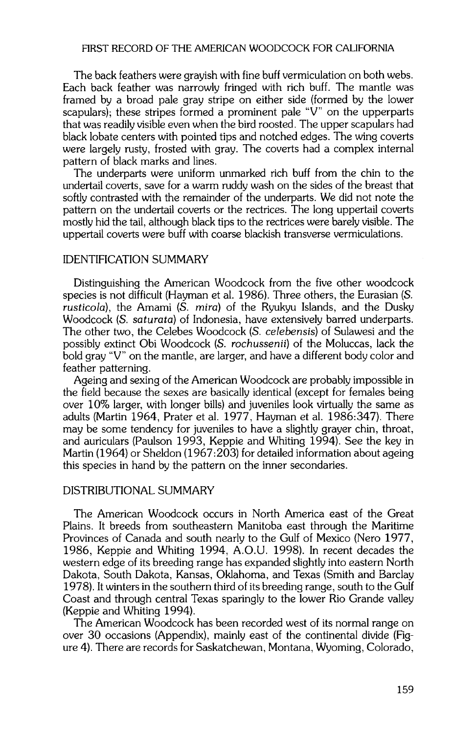### **FIRST RECORD OF THE AMERICAN WOODCOCK FOR CALIFORNIA**

**The back feathers were grayish with fine buff vermiculation on both webs. Each back feather was narrowly fringed with rich buff. The mantle was framed by a broad pale gray stripe on either side (formed by the lower scapulars); these stripes formed a prominent pale "V" on the upperparts that was readily visible even when the bird roosted. The upper scapulars had black lobate centers with pointed tips and notched edges. The wing coverts were largely rusty, frosted with gray. The coverts had a complex internal pattern of black marks and lines.** 

**The underparts were uniform unmarked rich buff from the chin to the undertail coverts, save for a warm ruddy wash on the sides of the breast that softly contrasted with the remainder of the underparts. We did not note the pattern on the undertail coverts or the rectrices. The long uppertail coverts mostly hid the tail, although black tips to the rectrices were barely visible. The uppertail coverts were buff with coarse blackish transverse vermiculations.** 

### **IDENTIFICATION SUMMARY**

**Distinguishing the American Woodcock from the five other woodcock species is not difficult (Hayman et al. 1986). Three others, the Eurasian (S. rusticola), the Amami (S. mira) of the Ryukyu Islands, and the Dusky Woodcock (S. saturata) of Indonesia, have extensively barred underparts. The other two, the Celebes Woodcock (S. celebensis) of Sulawesi and the possibly extinct Obi Woodcock (S. rochussenii) of the Moluccas, lack the bold gray "V" on the mantle, are larger, and have a different body color and feather patterning.** 

**Ageing and sexing of the American Woodcock are probably impossible in the field because the sexes are basically identical (except for females being over 10% larger, with longer bills) and juveniles look virtually the same as adults (Martin 1964, Prater et al. 1977, Hayman et al. 1986:347). There may be some tendency for juveniles to have a slightly grayer chin, throat, and auriculars (Paulson 1993, Keppie and Whiting 1994). See the key in Martin (1964) or Sheldon (1967:203) for detailed information about ageing this species in hand by the pattern on the inner secondaries.** 

#### **DISTRIBUTIONAL SUMMARY**

**The American Woodcock occurs in North America east of the Great Plains. It breeds from southeastern Manitoba east through the Maritime Provinces of Canada and south nearly to the Gulf of Mexico (Nero 1977, 1986, Keppie and Whiting 1994, A.O.U. 1998). In recent decades the western edge of its breeding range has expanded slightly into eastern North Dakota, South Dakota, Kansas, Oklahoma, and Texas (Smith and Barclay 1978). It winters in the southern third of its breeding range, south to the Gulf Coast and through central Texas sparingly to the lower Rio Grande valley (Keppie and Whiting 1994).** 

**The American Woodcock has been recorded west of its normal range on over 30 occasions (Appendix), mainly east of the continental divide (Figure 4). There are records for Saskatchewan, Montana, Wyoming, Colorado,**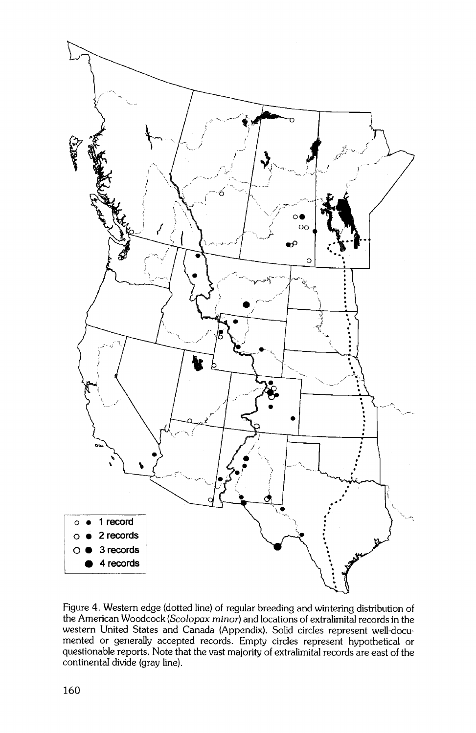

**Figure 4. Western edge (dotted line) of regular breeding and wintering distribution of**  the American Woodcock (Scolopax minor) and locations of extralimital records in the **western United States and Canada (Appendix). Solid circles represent well-documented or generally accepted records. Empty circles represent hypothetical or**  questionable reports. Note that the vast majority of extralimital records are east of the **continental divide (gray line).**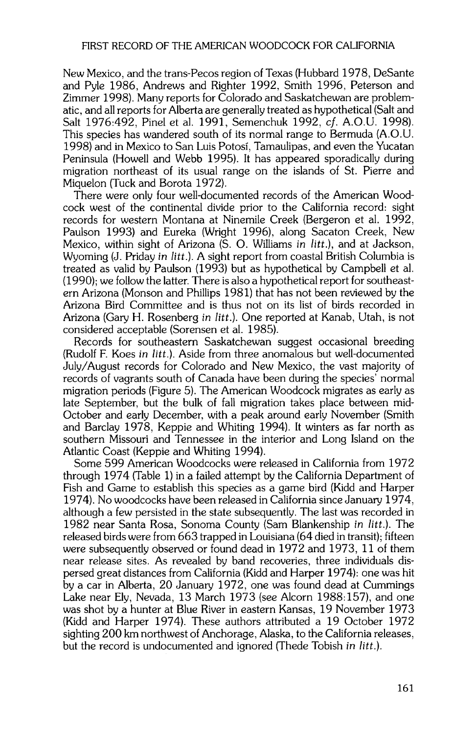**New Mexico, and the trans-Pecos region of Texas (Hubbard 1978, DeSante and Pyle 1986, Andrews and Righter 1992, Smith 1996, Peterson and Zimmer 1998). Many reports for Colorado and Saskatchewan are problematic, and all reports for Alberta are generally treated as hypothetical (Salt and Salt 1976:492, Pinel et al. 1991, Semenchuk 1992, cf. A.O.U. 1998). This species has wandered south of its normal range to Bermuda (A.O.U. 1998) and in Mexico to San Luis Potosf, Tamaulipas, and even the Yucatan Peninsula (Howell and Webb 1995). It has appeared sporadically during migration northeast of its usual range on the islands of St. Pierre and Miquelon (Tuck and Borota 1972).** 

**There were only four well-documented records of the American Woodcock west of the continental divide prior to the California record: sight records for western Montana at Ninemile Creek (Bergeron et al. 1992, Paulson 1993) and Eureka (Wright 1996), along Sacaton Creek, New Mexico, within sight of Arizona (S. O. Williams in litt.), and at Jackson, Wyoming (J. Priday in litt.). A sight report from coastal British Columbia is treated as valid by Paulson (1993) but as hypothetical by Campbell et al. (1990); we follow the latter. There is also a hypothetical report for southeastern Arizona (Monson and Phillips 1981) that has not been reviewed by the Arizona Bird Committee and is thus not on its list of birds recorded in Arizona (Gary H. Rosenberg in litt.). One reported at Kanab, Utah, is not considered acceptable (Sorensen et al. 1985).** 

**Records for southeastern Saskatchewan suggest occasional breeding (Rudolf F. Koes in litt.). Aside from three anomalous but well-documented July/August records for Colorado and New Mexico, the vast majority of records of vagrants south of Canada have been during the species' normal migration periods (Figure 5). The American Woodcock migrates as early as late September, but the bulk of fall migration takes place between mid-October and early December, with a peak around early November (Smith and Barclay 1978, Keppie and Whiting 1994). It winters as far north as southern Missouri and Tennessee in the interior and Long Island on the Atlantic Coast (Keppie and Whiting 1994).** 

**Some 599 American Woodcocks were released in California from 1972 through 1974 (Table 1) in a failed attempt by the California Department of Fish and Game to establish this species as a game bird (Kidd and Harper 1974). No woodcocks have been released in California since January 1974, although a few persisted in the state subsequently. The last was recorded in 1982 near Santa Rosa, Sonoma County (Sam Blankenship in litt.). The released birds were from 663 trapped in Louisiana (64 died in transit); fifteen were subsequently observed or found dead in 1972 and 1973, 11 of them near release sites. As revealed by band recoveries, three individuals dispersed great distances from California (Kidd and Harper 1974): one was hit by a car in Alberta, 20 January 1972, one was found dead at Cummings Lake near Ely, Nevada, 13 March 1973 (see Alcorn 1988:157), and one was shot by a hunter at Blue River in eastern Kansas, 19 November 1973 (Kidd and Harper 1974). These authors attributed a 19 October 1972 sighting 200 km northwest of Anchorage, Alaska, to the California releases, but the record is undocumented and ignored (Thede Tobish in litt.).**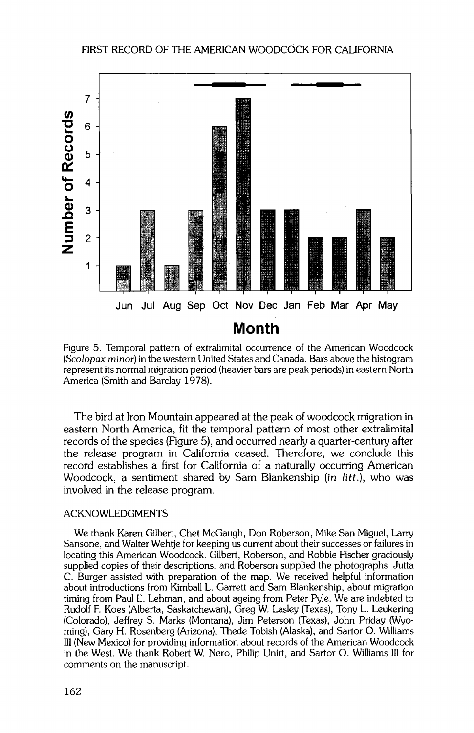

**Figure 5. Temporal pattern of extralimital occurrence of the American Woodcock (Scolopax minor) in the western United States and Canada. Bars above the histogram represent its normal migration period (heavier bars are peak periods) in eastern North America (Smith and Barclay 1978).** 

**The bird at Iron Mountain appeared at the peak of woodcock migration in eastern North America, fit the temporal pattern of most other extralimital records of the species (Figure 5), and occurred nearly a quarter-century after the release program in California ceased. Therefore, we conclude this**  record establishes a first for California of a naturally occurring American **Woodcock, a sentiment shared by Sam Blankenship (in litt.), who was involved in the release program.** 

#### **ACKNOWLEDGMENTS**

**We thank Karen Gilbert, Chet McGaugh, Don Roberson, Mike San Miguel, Larry Sansone, and Walter Wehtje for keeping us current about their successes orfailures in locating this American Woodcock. Gilbert, Roberson, and Robbie Fischer graciously supplied copies of their descriptions, and Roberson supplied the photographs. Jutta C. Burger assisted with preparation of the map. We received helpful information about introductions from Kimball L. Garrett and Sam Blankenship, about migration timing from Paul E. Lehman, and about ageing from Peter Pyle. We are indebted to Rudolf F. Koes (Alberta, Saskatchewan), Greg W. Lasley (Texas), Tony L. Leukering (Colorado), Jeffrey S. Marks (Montana), Jim Peterson (Texas), John Priday (Wyoming), Gary H. Rosenberg (Arizona), Thede Tobish (Alaska), and Sartor O. Williams III (New Mexico) for providing information about records of the American Woodcock in the West. We thank Robert W. Nero, Philip Unitt, and Sartor O. Williams III for comments on the manuscript.**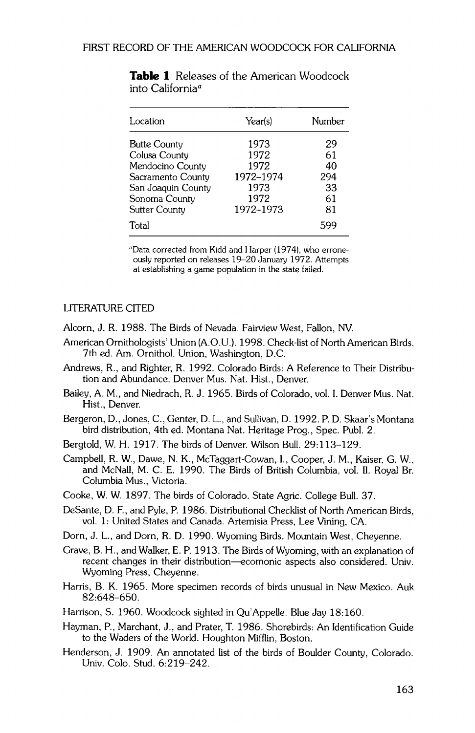| Location                                                                                                                       | Year(s)                                                        | Number                                  |
|--------------------------------------------------------------------------------------------------------------------------------|----------------------------------------------------------------|-----------------------------------------|
| Butte County<br>Colusa County<br>Mendocino County<br>Sacramento County<br>San Joaquin County<br>Sonoma County<br>Sutter County | 1973<br>1972<br>1972<br>1972-1974<br>1973<br>1972<br>1972-1973 | 29<br>61<br>40<br>294<br>33<br>61<br>81 |
| Total                                                                                                                          |                                                                | 599                                     |

**Table ! Releases of the American Woodcock into California<sup>a</sup>** 

**aData corrected from Kidd and Harper (1974), who erroneously reported on releases 19-20 January 1972. Attempts at establishing a game population in the state failed.** 

## **LITERATURE CITED**

**Alcorn, J. R. 1988. The Birds of Nevada. Fairview West, Fallon, NV.** 

- **American Ornithologists' Union (A.O.U.). 1998. Check-list of North American Birds, 7th ed. Am. Ornithol. Union, Washington, D.C.**
- **Andrews, R., and Righter, R. 1992. Colorado Birds: A Reference to Their Distribution and Abundance. Denver Mus. Nat. Hist., Denver.**
- **Bailey, A.M., and Niedrach, R. J. 1965. Birds of Colorado, vol. I. Denver Mus. Nat. Hist., Denver.**
- **Bergeron, D., Jones, C., Genter, D. L., and Sullivan, D. 1992. P. D. Skaar's Montana bird distribution, 4th ed. Montana Nat. Heritage Prog., Spec. Publ. 2.**
- **Bergtold, W. H. 1917. The birds of Denver. Wilson Bull. 29:113-129.**
- Campbell, R. W., Dawe, N. K., McTaggart-Cowan, I., Cooper, J. M., Kaiser, G. W., **and McNall, M. C. E. 1990. The Birds of British Columbia, vol. II. Royal Br. Columbia Mus., Victoria.**
- **Cooke, W. W. 1897. The birds of Colorado. State Agric. College Bull. 37.**
- **DeSante, D. F., and Pyle, P. 1986. Distributional Checklist of North American Birds, vol. 1: United States and Canada. Artemisia Press, Lee Vining, CA.**
- **Dorn, J. L., and Dorn, R. D. 1990. Wyoming Birds. Mountain West, Cheyenne.**
- **Grave, B. H., and Walker, E. P. 1913. The Birds of Wyoming, with an explanation of**  recent changes in their distribution—ecomonic aspects also considered. Univ. **Wyoming Press, Cheyenne.**
- **Harris, B. K. 1965. More specimen records of birds unusual in New Mexico. Auk 82:648-650.**
- **Harrison, S. 1960. Woodcock sighted in Qu'Appelle. Blue Jay 18:160.**
- **Hayman, P., Marchant, J., and Prater, T. 1986. Shorebirds: An Identification Guide to the Waders of the World. Houghton Mifflin, Boston.**
- **Henderson, J. 1909. An annotated list of the birds of Boulder County, Colorado. Univ. Colo. Stud. 6:219-242.**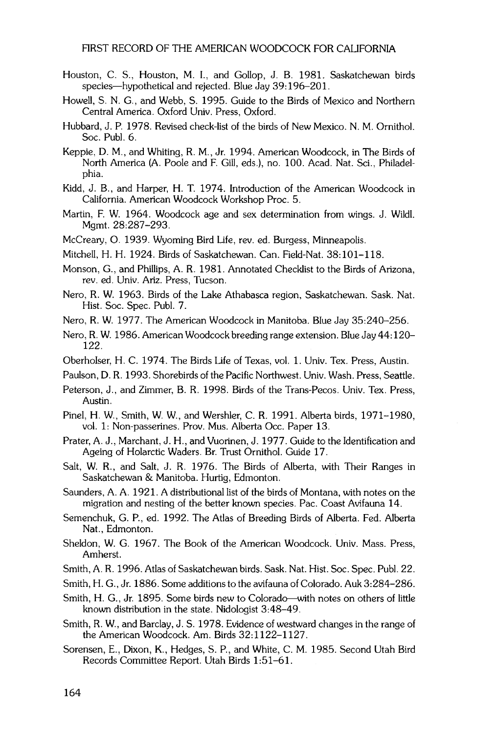- **Houston, C. S., Houston, M. I., and Gollop, J. B. 1981. Saskatchewan birds species--hypothetical and rejected. Blue Jay 39:196-201.**
- **Howell, S. N. G., and Webb, S. 1995. Guide to the Birds of Mexico and Northern Central America. Oxford Univ. Press, Oxford.**
- **Hubbard, J.P. 1978. Revised check-list of the birds of New Mexico. N.M. Ornithol. Soc. Publ. 6.**
- **Keppie, D. M., and Whiting, R. M., Jr. 1994. American Woodcock, in The Birds of North America (A. Poole and F. Gill, eds.), no. 100. Acad. Nat. Sci., Philadelphia.**
- **Kidd, J. B., and Harper, H. T. 1974. Introduction of the American Woodcock in California. American Woodcock Workshop Proc. 5.**
- **Martin, F. W. 1964. Woodcock age and sex determination from wings. J. Wildl. Mgmt. 28:287-293.**
- **McCreary, O. 1939. Wyoming Bird Life, rev. ed. Burgess, Minneapolis.**
- **Mitchell, H. H. 1924. Birds of Saskatchewan. Can. Field-Nat. 38:101-118.**
- **Monson, G., and Phillips, A. R. 1981. Annotated Checklisto the Birds of Arizona, rev. ed. Univ. Ariz. Press, Tucson.**
- **Nero, R. W. 1963. Birds of the Lake Athabasca region, Saskatchewan. Sask. Nat. Hist. Soc. Spec. Publ. 7.**
- **Nero, R. W. 1977. The American Woodcock in Manitoba. Blue Jay 35:240-256.**
- **Nero, R. W. 1986. American Woodcock breeding range extension. Blue Jay 44:120- 122.**
- **Oberholser, H. C. 1974. The Birds Life of Texas, vol. 1. Univ. Tex. Press, Austin.**
- **Paulson, D. R. 1993. Shorebirds of the Pacific Northwest. Univ. Wash. Press, Seattle.**
- **Peterson, J., and Zimmer, B. R. 1998. Birds of the Trans-Pecos. Univ. Tex. Press, Austin.**
- **Pinel, H. W., Smith, W. W., and Wershler, C. R. 1991. Alberta birds, 1971-1980, vol. 1: Non-passerines. Prov. Mus. Alberta Occ. Paper 13.**
- **Prater, A. J., Marchant, J. H., and Vuorinen, J. 1977. Guide to the Identification and Ageing of Holarctic Waders. Br. Trust Ornithol. Guide 17.**
- **Salt, W. R., and Salt, J. R. 1976. The Birds of Alberta, with Their Ranges in Saskatchewan & Manitoba. Hurtig, Edmonton.**
- **Saunders, A. A. 1921. A distributional list of the birds of Montana, with notes on the migration and nesting of the better known species. Pac. Coast Avifauna 14.**
- **Semenchuk, G. P., ed. 1992. The Atlas of Breeding Birds of Alberta. Fed. Alberta Nat., Edmonton.**
- **Sheldon, W. G. 1967. The Book of the American Woodcock. Univ. Mass. Press, Amherst.**
- **Smith, A. R. 1996. Atlas of Saskatchewan birds. Sask. Nat. Hist. Soc. Spec. Publ. 22.**
- **Smith, H. G., Jr. 1886. Some additions to the avifauna of Colorado. Auk 3:284-286.**
- **Smith, H. G., Jr. 1895. Some birds new to Colorado--with notes on others of little known distribution in the state. Nidologist 3:48-49.**
- **Smith, R. W., and Barclay, J. S. 1978. Evidence of westward changes in the range of the American Woodcock. Am. Birds 32:1122-1127.**
- **Sorensen, E., Dixon, K., Hedges, S. P., and White, C. M. 1985. Second Utah Bird Records Committee Report. Utah Birds 1: 51-61.**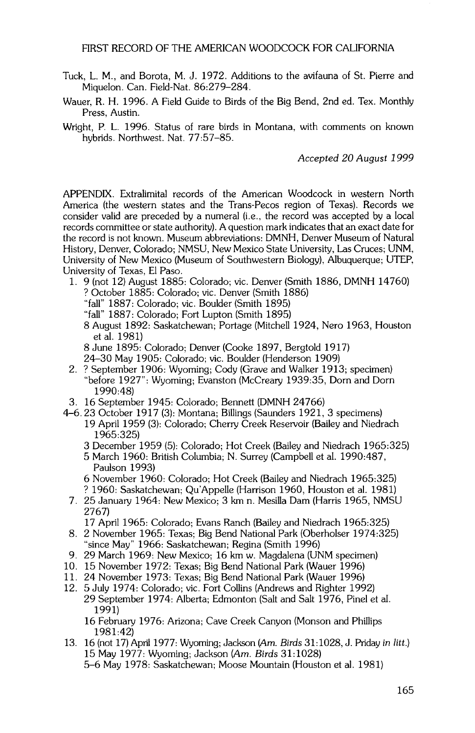- **Tuck, L. M., and Borota, M. J. 1972. Additions to the avifauna of St. Pierre and Miquelon. Can. Field-Nat. 86:279-284.**
- **Wauer, R. H. 1996. A Field Guide to Birds of the Big Bend, 2nd ed. Tex. Monthly Press, Austin.**
- **Wright, P. L. 1996. Status of rare birds in Montana, with comments on known hybrids. Northwest. Nat. 77:57-85.**

**Accepted 20 August 1999** 

**APPENDIX. Extralimital records of the American Woodcock in western North America (the western states and the Trans-Pecos region of Texas). Records we consider valid are preceded by a numeral (i.e., the record was accepted by a local records committee or state authority). A question mark indicates that an exact date for the record is not known. Museum abbreviations: DMNH, Denver Museum of Natural History, Denver, Colorado; NMSU, New Mexico State University, Las Cruces; UNM, University of New Mexico (Museum of Southwestern Biology), Albuquerque; UTEP, University of Texas, E1 Paso.** 

- **1. 9 (not 12) August 1885: Colorado; vic. Denver (Smith 1886, DMNH 14760) ? October 1885: Colorado; vic. Denver (Smith 1886) "fall" 1887: Colorado; vic. Boulder (Smith 1895)** 
	- **"fall" 1887: Colorado; Fort Lupton (Smith 1895)**
	- **8 August 1892: Saskatchewan; Portage (Mitchell 1924, Nero 1963, Houston et al. 1981)**
	- **8 June 1895: Colorado; Denver (Cooke 1897, Bergtold 1917)**
	- **24-30 May 1905: Colorado; vic. Boulder (Henderson 1909)**
- **2. ? September 1906: Wyoming; Cody (Grave and Walker 1913; specimen) "before 1927": Wyoming; Evanston (McCreary 1939:35, Dorn and Dorn 1990:48)**
- **3. 16 September 1945: Colorado; Bennett (DMNH 24766)**
- **4-6.23 October 1917 (3): Montana; Billings (Saunders 1921, 3 specimens) 19 April 1959 (3): Colorado; Cherry Creek Reservoir (Bailey and Niedrach 1965:325)** 
	- **3 December 1959 (5): Colorado; Hot Creek (Bailey and Niedrach 1965:325)**
	- **5 March 1960: British Columbia; N. Surrey (Campbell et al. 1990:487, Paulson 1993)**
	- **6 November 1960: Colorado; Hot Creek (Bailey and Niedrach 1965:325)**
	- **? 1960: Saskatchewan; Qu'Appelle (Harrison 1960, Houston et al. 1981)**
	- **7. 25 January 1964: New Mexico; 3 km n. Mesilla Dam (Harris 1965, NMSU 2767)**

**17 April 1965: Colorado; Evans Ranch (Bailey and Niedrach 1965:325)** 

- **8. 2 November 1965: Texas; Big Bend National Park (Oberholser 1974:325) "since May" 1966: Saskatchewan; Regina (Smith 1996)**
- **9. 29 March 1969: New Mexico; 16 km w. Magdalena (UNM specimen)**
- **10. 15 November 1972: Texas; Big Bend National Park (Wauer 1996)**
- **11. 24 November 1973: Texas; Big Bend National Park (Wauer 1996)**
- **12. 5 July 1974: Colorado; vic. Fort Collins (Andrews and Righter 1992) 29 September 1974: Alberta; Edmonton (Salt and Salt 1976, Pinel et al. 1991)**

**16 February 1976: Arizona; Cave Creek Canyon (Monson and Phillips 1981:42)** 

**13. 16 (not 17) April 1977: Wyoming; Jackson (Am. Birds 31:1028, J. Priday in litt.) 15 May 1977: Wyoming; Jackson (Am. Birds 31:1028) 5-6 May 1978: Saskatchewan; Moose Mountain (Houston et al. 1981)**